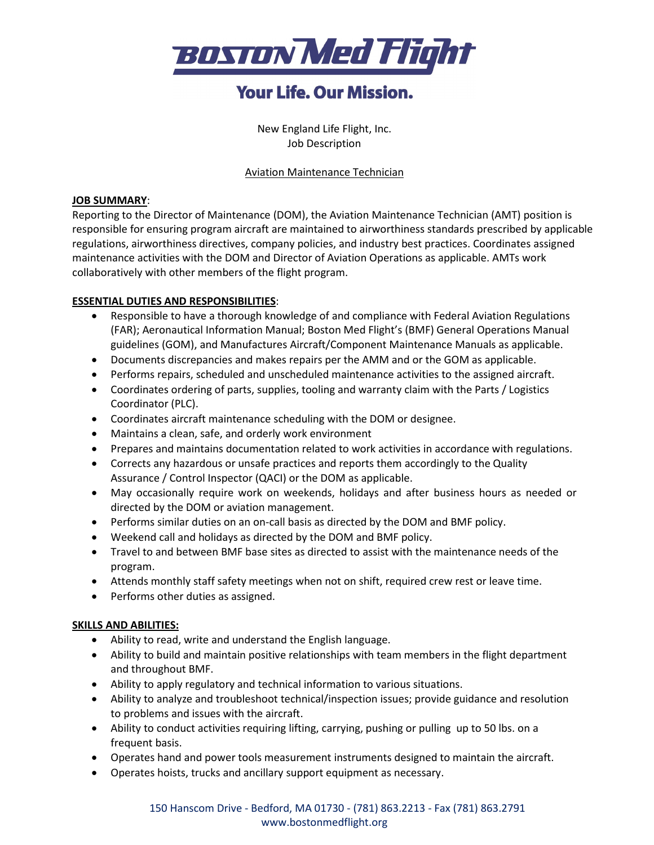

## **Your Life, Our Mission.**

New England Life Flight, Inc. Job Description

#### Aviation Maintenance Technician

#### **JOB SUMMARY**:

Reporting to the Director of Maintenance (DOM), the Aviation Maintenance Technician (AMT) position is responsible for ensuring program aircraft are maintained to airworthiness standards prescribed by applicable regulations, airworthiness directives, company policies, and industry best practices. Coordinates assigned maintenance activities with the DOM and Director of Aviation Operations as applicable. AMTs work collaboratively with other members of the flight program.

### **ESSENTIAL DUTIES AND RESPONSIBILITIES**:

- Responsible to have a thorough knowledge of and compliance with Federal Aviation Regulations (FAR); Aeronautical Information Manual; Boston Med Flight's (BMF) General Operations Manual guidelines (GOM), and Manufactures Aircraft/Component Maintenance Manuals as applicable.
- Documents discrepancies and makes repairs per the AMM and or the GOM as applicable.
- Performs repairs, scheduled and unscheduled maintenance activities to the assigned aircraft.
- Coordinates ordering of parts, supplies, tooling and warranty claim with the Parts / Logistics Coordinator (PLC).
- Coordinates aircraft maintenance scheduling with the DOM or designee.
- Maintains a clean, safe, and orderly work environment
- Prepares and maintains documentation related to work activities in accordance with regulations.
- Corrects any hazardous or unsafe practices and reports them accordingly to the Quality Assurance / Control Inspector (QACI) or the DOM as applicable.
- May occasionally require work on weekends, holidays and after business hours as needed or directed by the DOM or aviation management.
- Performs similar duties on an on-call basis as directed by the DOM and BMF policy.
- Weekend call and holidays as directed by the DOM and BMF policy.
- Travel to and between BMF base sites as directed to assist with the maintenance needs of the program.
- Attends monthly staff safety meetings when not on shift, required crew rest or leave time.
- Performs other duties as assigned.

#### **SKILLS AND ABILITIES:**

- Ability to read, write and understand the English language.
- Ability to build and maintain positive relationships with team members in the flight department and throughout BMF.
- Ability to apply regulatory and technical information to various situations.
- Ability to analyze and troubleshoot technical/inspection issues; provide guidance and resolution to problems and issues with the aircraft.
- Ability to conduct activities requiring lifting, carrying, pushing or pulling up to 50 lbs. on a frequent basis.
- Operates hand and power tools measurement instruments designed to maintain the aircraft.
- Operates hoists, trucks and ancillary support equipment as necessary.